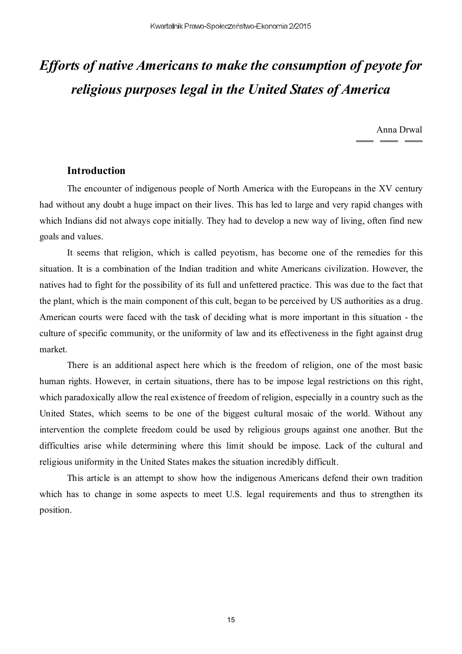# *Efforts of native Americans to make the consumption of peyote for religious purposes legal in the United States of America*

Anna Drwal

## **Introduction**

The encounter of indigenous people of North America with the Europeans in the XV century had without any doubt a huge impact on their lives. This has led to large and very rapid changes with which Indians did not always cope initially. They had to develop a new way of living, often find new goals and values.

It seems that religion, which is called peyotism, has become one of the remedies for this situation. It is a combination of the Indian tradition and white Americans civilization. However, the natives had to fight for the possibility of its full and unfettered practice. This was due to the fact that the plant, which is the main component of this cult, began to be perceived by US authorities as a drug. American courts were faced with the task of deciding what is more important in this situation - the culture of specific community, or the uniformity of law and its effectiveness in the fight against drug market.

There is an additional aspect here which is the freedom of religion, one of the most basic human rights. However, in certain situations, there has to be impose legal restrictions on this right, which paradoxically allow the real existence of freedom of religion, especially in a country such as the United States, which seems to be one of the biggest cultural mosaic of the world. Without any intervention the complete freedom could be used by religious groups against one another. But the difficulties arise while determining where this limit should be impose. Lack of the cultural and religious uniformity in the United States makes the situation incredibly difficult.

This article is an attempt to show how the indigenous Americans defend their own tradition which has to change in some aspects to meet U.S. legal requirements and thus to strengthen its position.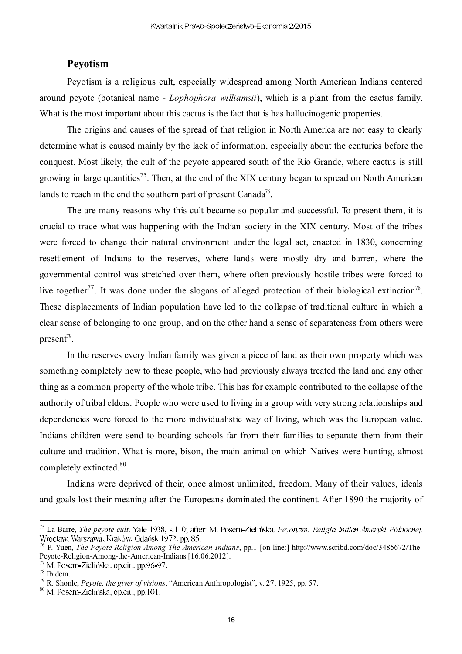## **Peyotism**

Peyotism is a religious cult, especially widespread among North American Indians centered around peyote (botanical name - *Lophophora williamsii*), which is a plant from the cactus family. What is the most important about this cactus is the fact that is has hallucinogenic properties.

The origins and causes of the spread of that religion in North America are not easy to clearly determine what is caused mainly by the lack of information, especially about the centuries before the conquest. Most likely, the cult of the peyote appeared south of the Rio Grande, where cactus is still growing in large quantities<sup>75</sup>. Then, at the end of the XIX century began to spread on North American lands to reach in the end the southern part of present Canada<sup>76</sup>.

The are many reasons why this cult became so popular and successful. To present them, it is crucial to trace what was happening with the Indian society in the XIX century. Most of the tribes were forced to change their natural environment under the legal act, enacted in 1830, concerning resettlement of Indians to the reserves, where lands were mostly dry and barren, where the governmental control was stretched over them, where often previously hostile tribes were forced to live together<sup>77</sup>. It was done under the slogans of alleged protection of their biological extinction<sup>78</sup>. These displacements of Indian population have led to the collapse of traditional culture in which a clear sense of belonging to one group, and on the other hand a sense of separateness from others were present<sup>79</sup>.

In the reserves every Indian family was given a piece of land as their own property which was something completely new to these people, who had previously always treated the land and any other thing as a common property of the whole tribe. This has for example contributed to the collapse of the authority of tribal elders. People who were used to living in a group with very strong relationships and dependencies were forced to the more individualistic way of living, which was the European value. Indians children were send to boarding schools far from their families to separate them from their culture and tradition. What is more, bison, the main animal on which Natives were hunting, almost completely extincted.<sup>80</sup>

Indians were deprived of their, once almost unlimited, freedom. Many of their values, ideals and goals lost their meaning after the Europeans dominated the continent. After 1890 the majority of

<sup>&</sup>lt;sup>75</sup> La Barre, *The peyote cult*, Yale 1938, s.110; after: M. Posern-Zielińska, Peyotyzm: Religia Indian Ameryki Północnej, <sup>76</sup> P. Yuen, *The Peyote Religion Among The American Indians*, pp.1 [on-line:] http://www.scribd.com/doc/3485672/The-

Peyote-Religion-Among-the-American-Indians [16.06.2012].<br><sup>77</sup> M. Posern-Zielińska, op.cit., pp.96-97.

<sup>77</sup>

<sup>78</sup> Ibidem.

<sup>79</sup> R. Shonle, *Peyote, the giver of visions*, "American Anthropologist", v. 27, 1925, pp. 57.

<sup>80</sup> M. Posern-Zielińska, op.cit., pp.101.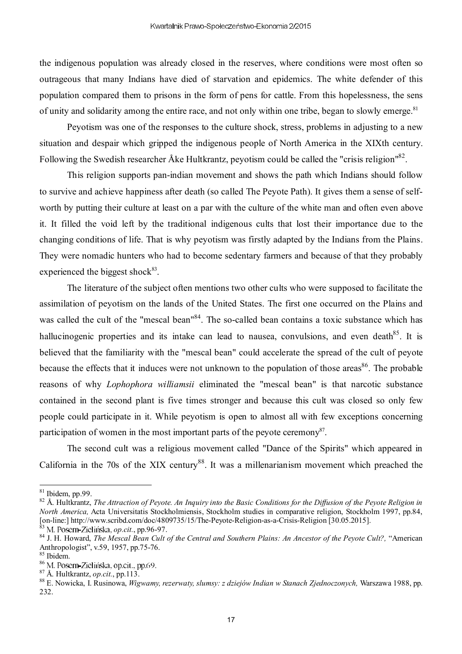the indigenous population was already closed in the reserves, where conditions were most often so outrageous that many Indians have died of starvation and epidemics. The white defender of this population compared them to prisons in the form of pens for cattle. From this hopelessness, the sens of unity and solidarity among the entire race, and not only within one tribe, began to slowly emerge.<sup>81</sup>

Peyotism was one of the responses to the culture shock, stress, problems in adjusting to a new situation and despair which gripped the indigenous people of North America in the XIXth century. Following the Swedish researcher Åke Hultkrantz, peyotism could be called the "crisis religion"<sup>82</sup>.

This religion supports pan-indian movement and shows the path which Indians should follow to survive and achieve happiness after death (so called The Peyote Path). It gives them a sense of selfworth by putting their culture at least on a par with the culture of the white man and often even above it. It filled the void left by the traditional indigenous cults that lost their importance due to the changing conditions of life. That is why peyotism was firstly adapted by the Indians from the Plains. They were nomadic hunters who had to become sedentary farmers and because of that they probably experienced the biggest shock $83$ .

The literature of the subject often mentions two other cults who were supposed to facilitate the assimilation of peyotism on the lands of the United States. The first one occurred on the Plains and was called the cult of the "mescal bean"<sup>84</sup>. The so-called bean contains a toxic substance which has hallucinogenic properties and its intake can lead to nausea, convulsions, and even death<sup>85</sup>. It is believed that the familiarity with the "mescal bean" could accelerate the spread of the cult of peyote because the effects that it induces were not unknown to the population of those areas<sup>86</sup>. The probable reasons of why *Lophophora williamsii* eliminated the "mescal bean" is that narcotic substance contained in the second plant is five times stronger and because this cult was closed so only few people could participate in it. While peyotism is open to almost all with few exceptions concerning participation of women in the most important parts of the peyote ceremony<sup>87</sup>.

The second cult was a religious movement called "Dance of the Spirits" which appeared in California in the 70s of the XIX century<sup>88</sup>. It was a millenarianism movement which preached the

 $81$  Ibidem, pp.99.

<sup>82</sup> Å. Hultkrantz, *The Attraction of Peyote. An Inquiry into the Basic Conditions for the Diffusion of the Peyote Religion in North America,* Acta Universitatis Stockholmiensis, Stockholm studies in comparative religion, Stockholm 1997, pp.84, [on-line:] http://www.scribd.com/doc/4809735/15/The-Peyote-Religion-as-a-Crisis-Religion [30.05.2015].

<sup>&</sup>lt;sup>3</sup> M. Posern-Zielińska, op.cit., pp.96-97.

<sup>84</sup> J. H. Howard, *The Mescal Bean Cult of the Central and Southern Plains: An Ancestor of the Peyote Cult?,* "American Anthropologist", v.59, 1957, pp.75-76.

<sup>85</sup> Ibidem.

<sup>&</sup>lt;sup>86</sup> M. Posern-Zielińska, op.cit., pp.69.

<sup>87</sup> Å. Hultkrantz, *op.cit.*, pp.113.

<sup>88</sup> E. Nowicka, I. Rusinowa, *Wigwamy, rezerwaty, slumsy: z dziejów Indian w Stanach Zjednoczonych,* Warszawa 1988, pp. 232.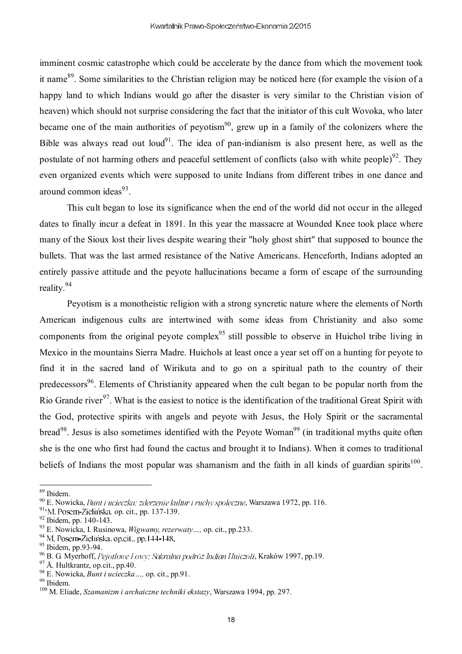imminent cosmic catastrophe which could be accelerate by the dance from which the movement took it name<sup>89</sup>. Some similarities to the Christian religion may be noticed here (for example the vision of a happy land to which Indians would go after the disaster is very similar to the Christian vision of heaven) which should not surprise considering the fact that the initiator of this cult Wovoka, who later became one of the main authorities of peyotism<sup>90</sup>, grew up in a family of the colonizers where the Bible was always read out loud<sup>91</sup>. The idea of pan-indianism is also present here, as well as the postulate of not harming others and peaceful settlement of conflicts (also with white people)<sup>92</sup>. They even organized events which were supposed to unite Indians from different tribes in one dance and around common ideas<sup>93</sup>.

This cult began to lose its significance when the end of the world did not occur in the alleged dates to finally incur a defeat in 1891. In this year the massacre at Wounded Knee took place where many of the Sioux lost their lives despite wearing their "holy ghost shirt" that supposed to bounce the bullets. That was the last armed resistance of the Native Americans. Henceforth, Indians adopted an entirely passive attitude and the peyote hallucinations became a form of escape of the surrounding reality.<sup>94</sup>

Peyotism is a monotheistic religion with a strong syncretic nature where the elements of North American indigenous cults are intertwined with some ideas from Christianity and also some components from the original peyote complex<sup>95</sup> still possible to observe in Huichol tribe living in Mexico in the mountains Sierra Madre. Huichols at least once a year set off on a hunting for peyote to find it in the sacred land of Wirikuta and to go on a spiritual path to the country of their predecessors<sup>96</sup>. Elements of Christianity appeared when the cult began to be popular north from the Rio Grande river<sup>97</sup>. What is the easiest to notice is the identification of the traditional Great Spirit with the God, protective spirits with angels and peyote with Jesus, the Holy Spirit or the sacramental bread<sup>98</sup>. Jesus is also sometimes identified with the Peyote Woman<sup>99</sup> (in traditional myths quite often she is the one who first had found the cactus and brought it to Indians). When it comes to traditional beliefs of Indians the most popular was shamanism and the faith in all kinds of guardian spirits<sup>100</sup>.

<sup>89</sup> Ibidem.

 $90$  E. Nowicka, *Bunt i ucieczka: zderzenie kultur i ruchy społeczne*, Warszawa 1972, pp. 116.

<sup>&</sup>lt;sup>91</sup><sup>6</sup>M. Posern-Zielińska, op. cit., pp. 137-139.

<sup>92</sup> Ibidem, pp. 140-143.

<sup>93</sup> E. Nowicka, I. Rusinowa, *Wigwamy, rezerwaty…,* op. cit., pp.233.

<sup>&</sup>lt;sup>94</sup> M. Posern-Zielińska, op.cit., pp. 144-148.

<sup>95</sup> Ibidem, pp.93-94.

<sup>&</sup>lt;sup>96</sup> B. G. Myerhoff, Pejotlowe Łowy: Sakralna podróż Indian Huiczoli, Kraków 1997, pp.19.

<sup>97</sup> Å. Hultkrantz, op.cit., pp.40.

<sup>98</sup> E. Nowicka, *Bunt i ucieczka…,* op. cit., pp.91.

<sup>99</sup> Ibidem.

<sup>100</sup> M. Eliade, *Szamanizm i archaiczne techniki ekstazy*, Warszawa 1994, pp. 297.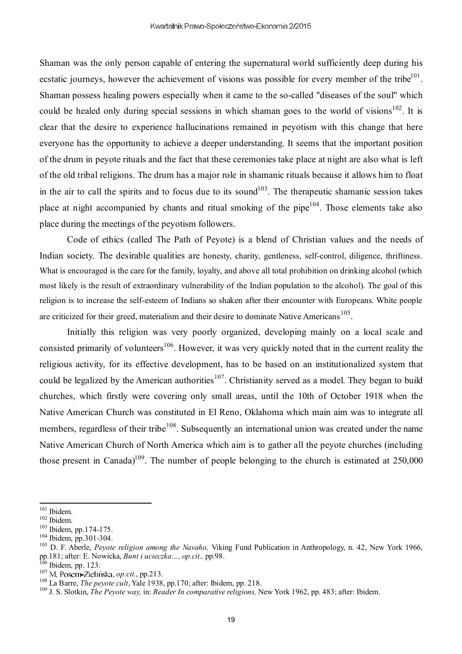Shaman was the only person capable of entering the supernatural world sufficiently deep during his ecstatic journeys, however the achievement of visions was possible for every member of the tribe $101$ . Shaman possess healing powers especially when it came to the so-called "diseases of the soul" which could be healed only during special sessions in which shaman goes to the world of visions<sup>102</sup>. It is clear that the desire to experience hallucinations remained in peyotism with this change that here everyone has the opportunity to achieve a deeper understanding. It seems that the important position of the drum in peyote rituals and the fact that these ceremonies take place at night are also what is left of the old tribal religions. The drum has a major role in shamanic rituals because it allows him to float in the air to call the spirits and to focus due to its sound<sup>103</sup>. The therapeutic shamanic session takes place at night accompanied by chants and ritual smoking of the pipe<sup>104</sup>. Those elements take also place during the meetings of the peyotism followers.

Code of ethics (called The Path of Peyote) is a blend of Christian values and the needs of Indian society. The desirable qualities are honesty, charity, gentleness, self-control, diligence, thriftiness. What is encouraged is the care for the family, loyalty, and above all total prohibition on drinking alcohol (which most likely is the result of extraordinary vulnerability of the Indian population to the alcohol). The goal of this religion is to increase the self-esteem of Indians so shaken after their encounter with Europeans. White people are criticized for their greed, materialism and their desire to dominate Native Americans<sup>105</sup>.

Initially this religion was very poorly organized, developing mainly on a local scale and consisted primarily of volunteers<sup>106</sup>. However, it was very quickly noted that in the current reality the religious activity, for its effective development, has to be based on an institutionalized system that could be legalized by the American authorities<sup>107</sup>. Christianity served as a model. They began to build churches, which firstly were covering only small areas, until the 10th of October 1918 when the Native American Church was constituted in El Reno, Oklahoma which main aim was to integrate all members, regardless of their tribe<sup>108</sup>. Subsequently an international union was created under the name Native American Church of North America which aim is to gather all the peyote churches (including those present in Canada)<sup>109</sup>. The number of people belonging to the church is estimated at  $250,000$ 

<sup>101</sup> Ibidem.

<sup>102</sup> Ibidem.

<sup>103</sup> Ibidem, pp.174-175.

<sup>104</sup> Ibidem, pp.301-304.

<sup>105</sup> D. F. Aberle, *Peyote religion among the Navaho,* Viking Fund Publication in Anthropology, n. 42, New York 1966, pp.181; after: E. Nowicka, *Bunt i ucieczka…, op.cit.,* pp.98.

Ibidem, pp. 123.

<sup>&</sup>lt;sup>107</sup> M. Posern-Zielińska, *op.cit.*, pp.213.

<sup>108</sup> La Barre, *The peyote cult*, Yale 1938, pp.170; after: Ibidem, pp. 218.

<sup>109</sup> J. S. Slotkin, *The Peyote way,* in: *Reader In comparative religions,* New York 1962, pp. 483; after: Ibidem.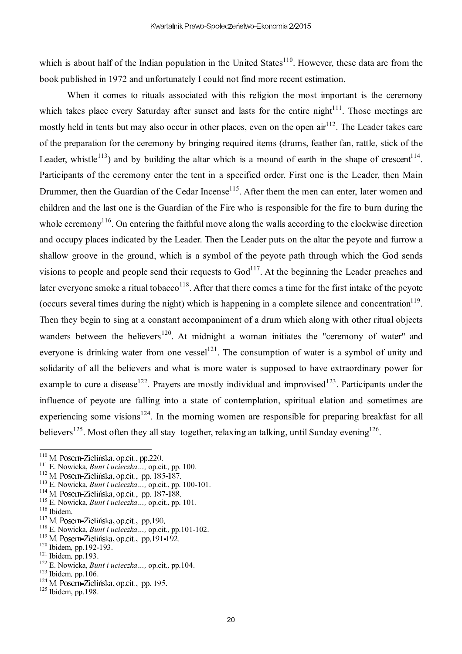which is about half of the Indian population in the United States $110$ . However, these data are from the book published in 1972 and unfortunately I could not find more recent estimation.

When it comes to rituals associated with this religion the most important is the ceremony which takes place every Saturday after sunset and lasts for the entire night $111$ . Those meetings are mostly held in tents but may also occur in other places, even on the open  $\sin^{112}$ . The Leader takes care of the preparation for the ceremony by bringing required items (drums, feather fan, rattle, stick of the Leader, whistle<sup>113</sup>) and by building the altar which is a mound of earth in the shape of crescent<sup>114</sup>. Participants of the ceremony enter the tent in a specified order. First one is the Leader, then Main Drummer, then the Guardian of the Cedar Incense<sup>115</sup>. After them the men can enter, later women and children and the last one is the Guardian of the Fire who is responsible for the fire to burn during the whole ceremony<sup>116</sup>. On entering the faithful move along the walls according to the clockwise direction and occupy places indicated by the Leader. Then the Leader puts on the altar the peyote and furrow a shallow groove in the ground, which is a symbol of the peyote path through which the God sends visions to people and people send their requests to  $God<sup>117</sup>$ . At the beginning the Leader preaches and later everyone smoke a ritual tobacco<sup>118</sup>. After that there comes a time for the first intake of the peyote (occurs several times during the night) which is happening in a complete silence and concentration $^{119}$ . Then they begin to sing at a constant accompaniment of a drum which along with other ritual objects wanders between the believers<sup>120</sup>. At midnight a woman initiates the "ceremony of water" and everyone is drinking water from one vessel<sup>121</sup>. The consumption of water is a symbol of unity and solidarity of all the believers and what is more water is supposed to have extraordinary power for example to cure a disease<sup>122</sup>. Prayers are mostly individual and improvised<sup>123</sup>. Participants under the influence of peyote are falling into a state of contemplation, spiritual elation and sometimes are experiencing some visions<sup>124</sup>. In the morning women are responsible for preparing breakfast for all believers<sup>125</sup>. Most often they all stay together, relaxing an talking, until Sunday evening  $126$ .

- <sup>112</sup> M. Posern-Zielińska, op.cit., pp. 185-187.
- <sup>113</sup> E. Nowicka, *Bunt i ucieczka…,* op.cit., pp. 100-101.
- <sup>114</sup> M. Posern-Zielińska, op.cit., pp. 187-188.
- <sup>115</sup> E. Nowicka, *Bunt i ucieczka…,* op.cit., pp. 101.
- <sup>116</sup> Ibidem.
- <sup>117</sup> M. Posern-Zielińska, op.cit., pp.190.
- <sup>118</sup> E. Nowicka, *Bunt i ucieczka…,* op.cit*.,* pp.101-102.
- <sup>119</sup> M. Posern-Zielińska, op.cit., pp.191-192.
- <sup>120</sup> Ibidem*,* pp.192-193.
- <sup>121</sup> Ibidem*,* pp.193.
- <sup>122</sup> E. Nowicka, *Bunt i ucieczka…,* op.cit*.,* pp.104.
- <sup>123</sup> Ibidem*,* pp.106.
- $124$  M, Posern-Zielińska, op.cit., pp. 195.
- $125$  Ibidem, pp.198.

 $110$  M. Posern-Zielińska, op.cit., pp.220.

<sup>111</sup> E. Nowicka, *Bunt i ucieczka…,* op.cit*.,* pp. 100.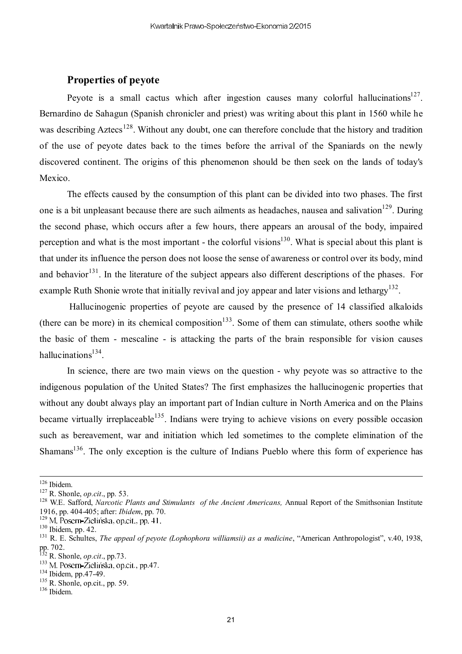#### **Properties of peyote**

Peyote is a small cactus which after ingestion causes many colorful hallucinations<sup>127</sup>. Bernardino de Sahagun (Spanish chronicler and priest) was writing about this plant in 1560 while he was describing Aztecs<sup>128</sup>. Without any doubt, one can therefore conclude that the history and tradition of the use of peyote dates back to the times before the arrival of the Spaniards on the newly discovered continent. The origins of this phenomenon should be then seek on the lands of today's Mexico.

The effects caused by the consumption of this plant can be divided into two phases. The first one is a bit unpleasant because there are such ailments as headaches, nausea and salivation<sup>129</sup>. During the second phase, which occurs after a few hours, there appears an arousal of the body, impaired perception and what is the most important - the colorful visions<sup>130</sup>. What is special about this plant is that under its influence the person does not loose the sense of awareness or control over its body, mind and behavior<sup>131</sup>. In the literature of the subject appears also different descriptions of the phases. For example Ruth Shonie wrote that initially revival and joy appear and later visions and lethargy<sup>132</sup>.

Hallucinogenic properties of peyote are caused by the presence of 14 classified alkaloids (there can be more) in its chemical composition<sup>133</sup>. Some of them can stimulate, others soothe while the basic of them - mescaline - is attacking the parts of the brain responsible for vision causes hallucinations<sup>134</sup>.

In science, there are two main views on the question - why peyote was so attractive to the indigenous population of the United States? The first emphasizes the hallucinogenic properties that without any doubt always play an important part of Indian culture in North America and on the Plains became virtually irreplaceable<sup>135</sup>. Indians were trying to achieve visions on every possible occasion such as bereavement, war and initiation which led sometimes to the complete elimination of the Shamans<sup>136</sup>. The only exception is the culture of Indians Pueblo where this form of experience has

<sup>126</sup> Ibidem.

<sup>127</sup> R. Shonle, *op.cit*., pp. 53.

<sup>&</sup>lt;sup>128</sup> W.E. Safford, *Narcotic Plants and Stimulants of the Ancient Americans*, Annual Report of the Smithsonian Institute 1916, pp. 404-405; after: *Ibidem*, pp. 70.

<sup>&</sup>lt;sup>129</sup> M. Posern-Zielińska, op.cit., pp. 41.

<sup>130</sup> Ibidem, pp. 42.

<sup>131</sup> R. E. Schultes, *The appeal of peyote (Lophophora williamsii) as a medicine*, "American Anthropologist", v.40, 1938, pp. 702.

<sup>132</sup> R. Shonle, *op.cit*., pp.73.

<sup>&</sup>lt;sup>133</sup> M. Posern-Zielińska, op.cit., pp.47.

<sup>134</sup> Ibidem, pp.47-49.

 $135$  R. Shonle, op.cit., pp. 59.

<sup>136</sup> Ibidem.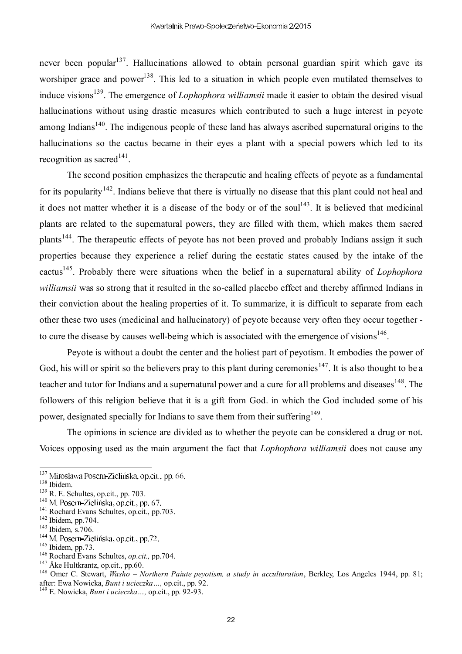never been popular<sup>137</sup>. Hallucinations allowed to obtain personal guardian spirit which gave its worshiper grace and power<sup>138</sup>. This led to a situation in which people even mutilated themselves to induce visions<sup>139</sup>. The emergence of *Lophophora williamsii* made it easier to obtain the desired visual hallucinations without using drastic measures which contributed to such a huge interest in peyote among Indians<sup>140</sup>. The indigenous people of these land has always ascribed supernatural origins to the hallucinations so the cactus became in their eyes a plant with a special powers which led to its recognition as sacred<sup>141</sup>.

The second position emphasizes the therapeutic and healing effects of peyote as a fundamental for its popularity<sup>142</sup>. Indians believe that there is virtually no disease that this plant could not heal and it does not matter whether it is a disease of the body or of the soul<sup>143</sup>. It is believed that medicinal plants are related to the supernatural powers, they are filled with them, which makes them sacred plants<sup>144</sup>. The therapeutic effects of peyote has not been proved and probably Indians assign it such properties because they experience a relief during the ecstatic states caused by the intake of the cactus<sup>145</sup>. Probably there were situations when the belief in a supernatural ability of *Lophophora williamsii* was so strong that it resulted in the so-called placebo effect and thereby affirmed Indians in their conviction about the healing properties of it. To summarize, it is difficult to separate from each other these two uses (medicinal and hallucinatory) of peyote because very often they occur together to cure the disease by causes well-being which is associated with the emergence of visions $^{146}$ .

Peyote is without a doubt the center and the holiest part of peyotism. It embodies the power of God, his will or spirit so the believers pray to this plant during ceremonies<sup>147</sup>. It is also thought to be a teacher and tutor for Indians and a supernatural power and a cure for all problems and diseases  $148$ . The followers of this religion believe that it is a gift from God. in which the God included some of his power, designated specially for Indians to save them from their suffering<sup>149</sup>.

The opinions in science are divided as to whether the peyote can be considered a drug or not. Voices opposing used as the main argument the fact that *Lophophora williamsii* does not cause any

<sup>&</sup>lt;sup>137</sup> Mirosława Posern-Zielińska, op.cit., pp. 66.

<sup>138</sup> Ibidem.

<sup>139</sup> R. E. Schultes, op.cit., pp. 703.

<sup>&</sup>lt;sup>140</sup> M. Posern-Zielińska, op.cit., pp. 67.

<sup>&</sup>lt;sup>141</sup> Rochard Evans Schultes, op.cit., pp.703.

 $142$  Ibidem, pp.704.

<sup>143</sup> Ibidem*,* s.706.

<sup>&</sup>lt;sup>144</sup> M. Posern-Zielińska, op.cit., pp.72.

 $145$  Ibidem, pp.73.

<sup>146</sup> Rochard Evans Schultes, *op.cit.,* pp.704.

<sup>147</sup> Åke Hultkrantz, op.cit., pp.60.

<sup>148</sup> Omer C. Stewart, *Washo – Northern Paiute peyotism, a study in acculturation*, Berkley, Los Angeles 1944, pp. 81; after: Ewa Nowicka, *Bunt i ucieczka…,* op.cit., pp. 92.

<sup>149</sup> E. Nowicka, *Bunt i ucieczka…,* op.cit., pp. 92-93.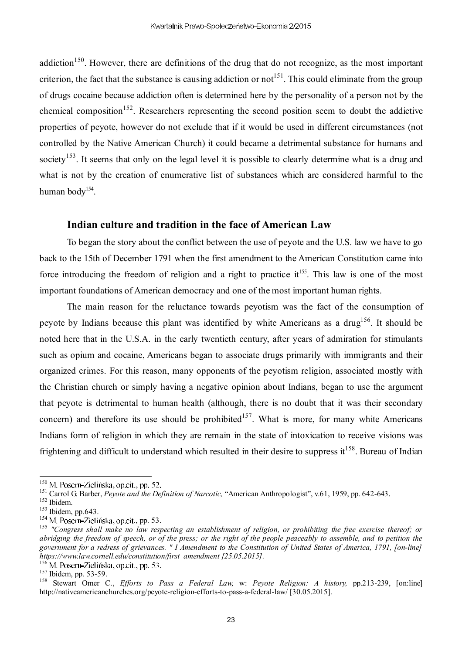addiction<sup>150</sup>. However, there are definitions of the drug that do not recognize, as the most important criterion, the fact that the substance is causing addiction or not<sup>151</sup>. This could eliminate from the group of drugs cocaine because addiction often is determined here by the personality of a person not by the chemical composition<sup>152</sup>. Researchers representing the second position seem to doubt the addictive properties of peyote, however do not exclude that if it would be used in different circumstances (not controlled by the Native American Church) it could became a detrimental substance for humans and society<sup>153</sup>. It seems that only on the legal level it is possible to clearly determine what is a drug and what is not by the creation of enumerative list of substances which are considered harmful to the human body<sup>154</sup>.

#### **Indian culture and tradition in the face of American Law**

To began the story about the conflict between the use of peyote and the U.S. law we have to go back to the 15th of December 1791 when the first amendment to the American Constitution came into force introducing the freedom of religion and a right to practice it<sup>155</sup>. This law is one of the most important foundations of American democracy and one of the most important human rights.

The main reason for the reluctance towards peyotism was the fact of the consumption of peyote by Indians because this plant was identified by white Americans as a drug<sup>156</sup>. It should be noted here that in the U.S.A. in the early twentieth century, after years of admiration for stimulants such as opium and cocaine, Americans began to associate drugs primarily with immigrants and their organized crimes. For this reason, many opponents of the peyotism religion, associated mostly with the Christian church or simply having a negative opinion about Indians, began to use the argument that peyote is detrimental to human health (although, there is no doubt that it was their secondary concern) and therefore its use should be prohibited<sup>157</sup>. What is more, for many white Americans Indians form of religion in which they are remain in the state of intoxication to receive visions was frightening and difficult to understand which resulted in their desire to suppress it  $158$ . Bureau of Indian

<sup>156</sup>M. Posern-Zielińska, op.cit., pp. 53.

<sup>&</sup>lt;sup>150</sup> M. Posern-Zielińska, op.cit., pp. 52.

<sup>151</sup> Carrol G. Barber, *Peyote and the Definition of Narcotic,* "American Anthropologist", v.61, 1959, pp. 642-643.

<sup>152</sup> Ibidem.

<sup>153</sup> Ibidem, pp.643.

<sup>&</sup>lt;sup>154</sup> M. Posern-Zielińska, op.cit., pp. 53.

<sup>155</sup> *"Congress shall make no law respecting an establishment of religion, or prohibiting the free exercise thereof; or abridging the freedom of speech, or of the press; or the right of the people peaceably to assemble, and to petition the government for a redress of grievances. " I Amendment to the Constitution of United States of America, 1791, [on-line] https://www.law.cornell.edu/constitution/first\_amendment [25.05.2015].*

<sup>&</sup>lt;sup>157</sup> Ibidem, pp. 53-59.

<sup>158</sup> Stewart Omer C., *Efforts to Pass a Federal Law,* w: *Peyote Religion: A history,* pp.213-239, [on:line] http://nativeamericanchurches.org/peyote-religion-efforts-to-pass-a-federal-law/ [30.05.2015].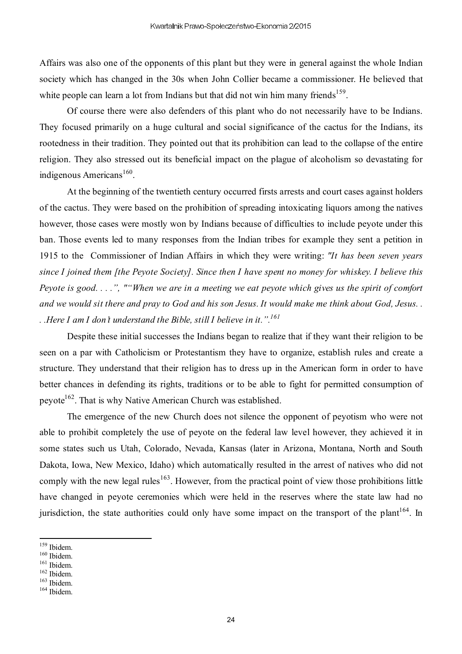Affairs was also one of the opponents of this plant but they were in general against the whole Indian society which has changed in the 30s when John Collier became a commissioner. He believed that white people can learn a lot from Indians but that did not win him many friends<sup>159</sup>.

Of course there were also defenders of this plant who do not necessarily have to be Indians. They focused primarily on a huge cultural and social significance of the cactus for the Indians, its rootedness in their tradition. They pointed out that its prohibition can lead to the collapse of the entire religion. They also stressed out its beneficial impact on the plague of alcoholism so devastating for indigenous Americans<sup>160</sup>.

At the beginning of the twentieth century occurred firsts arrests and court cases against holders of the cactus. They were based on the prohibition of spreading intoxicating liquors among the natives however, those cases were mostly won by Indians because of difficulties to include peyote under this ban. Those events led to many responses from the Indian tribes for example they sent a petition in 1915 to the Commissioner of Indian Affairs in which they were writing: *"It has been seven years since I joined them [the Peyote Society]. Since then I have spent no money for whiskey. I believe this Peyote is good. . . .", ""When we are in a meeting we eat peyote which gives us the spirit of comfort and we would sit there and pray to God and his son Jesus. It would make me think about God, Jesus. . . .Here I am I don't understand the Bible, still I believe in it.".<sup>161</sup>*

Despite these initial successes the Indians began to realize that if they want their religion to be seen on a par with Catholicism or Protestantism they have to organize, establish rules and create a structure. They understand that their religion has to dress up in the American form in order to have better chances in defending its rights, traditions or to be able to fight for permitted consumption of peyote<sup>162</sup>. That is why Native American Church was established.

The emergence of the new Church does not silence the opponent of peyotism who were not able to prohibit completely the use of peyote on the federal law level however, they achieved it in some states such us Utah, Colorado, Nevada, Kansas (later in Arizona, Montana, North and South Dakota, Iowa, New Mexico, Idaho) which automatically resulted in the arrest of natives who did not comply with the new legal rules<sup>163</sup>. However, from the practical point of view those prohibitions little have changed in peyote ceremonies which were held in the reserves where the state law had no jurisdiction, the state authorities could only have some impact on the transport of the plant<sup>164</sup>. In

<sup>159</sup> Ibidem.

<sup>160</sup> Ibidem.

<sup>&</sup>lt;sup>161</sup> Ibidem.

 $162$  Ibidem.  $163$  Ibidem.

<sup>164</sup> Ibidem.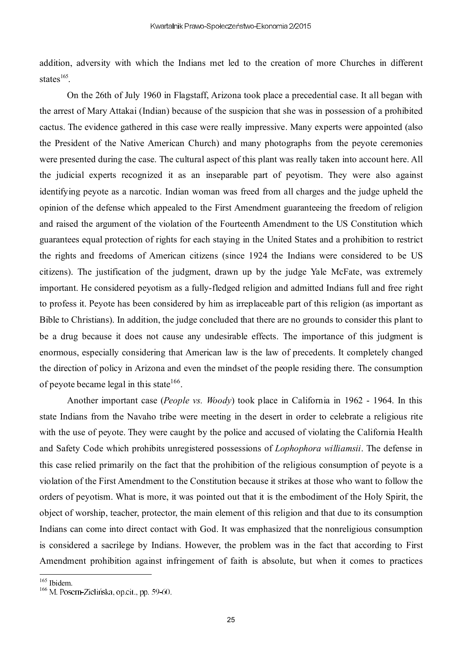addition, adversity with which the Indians met led to the creation of more Churches in different states $^{165}$ .

On the 26th of July 1960 in Flagstaff, Arizona took place a precedential case. It all began with the arrest of Mary Attakai (Indian) because of the suspicion that she was in possession of a prohibited cactus. The evidence gathered in this case were really impressive. Many experts were appointed (also the President of the Native American Church) and many photographs from the peyote ceremonies were presented during the case. The cultural aspect of this plant was really taken into account here. All the judicial experts recognized it as an inseparable part of peyotism. They were also against identifying peyote as a narcotic. Indian woman was freed from all charges and the judge upheld the opinion of the defense which appealed to the First Amendment guaranteeing the freedom of religion and raised the argument of the violation of the Fourteenth Amendment to the US Constitution which guarantees equal protection of rights for each staying in the United States and a prohibition to restrict the rights and freedoms of American citizens (since 1924 the Indians were considered to be US citizens). The justification of the judgment, drawn up by the judge Yale McFate, was extremely important. He considered peyotism as a fully-fledged religion and admitted Indians full and free right to profess it. Peyote has been considered by him as irreplaceable part of this religion (as important as Bible to Christians). In addition, the judge concluded that there are no grounds to consider this plant to be a drug because it does not cause any undesirable effects. The importance of this judgment is enormous, especially considering that American law is the law of precedents. It completely changed the direction of policy in Arizona and even the mindset of the people residing there. The consumption of peyote became legal in this state  $166$ .

Another important case (*People vs. Woody*) took place in California in 1962 - 1964. In this state Indians from the Navaho tribe were meeting in the desert in order to celebrate a religious rite with the use of peyote. They were caught by the police and accused of violating the California Health and Safety Code which prohibits unregistered possessions of *Lophophora williamsii*. The defense in this case relied primarily on the fact that the prohibition of the religious consumption of peyote is a violation of the First Amendment to the Constitution because it strikes at those who want to follow the orders of peyotism. What is more, it was pointed out that it is the embodiment of the Holy Spirit, the object of worship, teacher, protector, the main element of this religion and that due to its consumption Indians can come into direct contact with God. It was emphasized that the nonreligious consumption is considered a sacrilege by Indians. However, the problem was in the fact that according to First Amendment prohibition against infringement of faith is absolute, but when it comes to practices

<sup>165</sup> Ibidem.

 $166$  M. Posern-Zielińska, op.cit., pp. 59-60.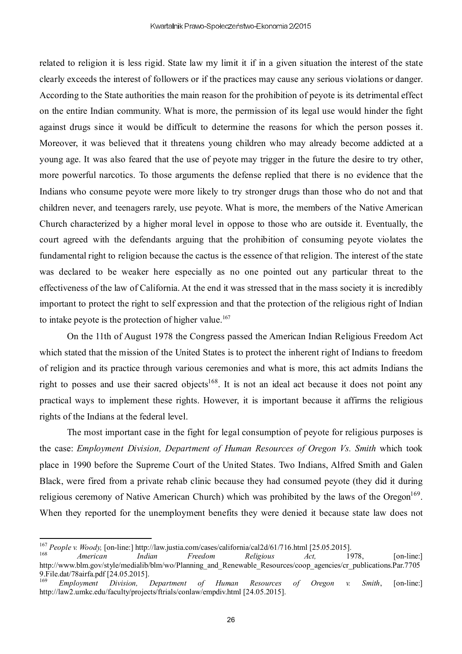related to religion it is less rigid. State law my limit it if in a given situation the interest of the state clearly exceeds the interest of followers or if the practices may cause any serious violations or danger. According to the State authorities the main reason for the prohibition of peyote is its detrimental effect on the entire Indian community. What is more, the permission of its legal use would hinder the fight against drugs since it would be difficult to determine the reasons for which the person posses it. Moreover, it was believed that it threatens young children who may already become addicted at a young age. It was also feared that the use of peyote may trigger in the future the desire to try other, more powerful narcotics. To those arguments the defense replied that there is no evidence that the Indians who consume peyote were more likely to try stronger drugs than those who do not and that children never, and teenagers rarely, use peyote. What is more, the members of the Native American Church characterized by a higher moral level in oppose to those who are outside it. Eventually, the court agreed with the defendants arguing that the prohibition of consuming peyote violates the fundamental right to religion because the cactus is the essence of that religion. The interest of the state was declared to be weaker here especially as no one pointed out any particular threat to the effectiveness of the law of California. At the end it was stressed that in the mass society it is incredibly important to protect the right to self expression and that the protection of the religious right of Indian to intake peyote is the protection of higher value.<sup>167</sup>

On the 11th of August 1978 the Congress passed the American Indian Religious Freedom Act which stated that the mission of the United States is to protect the inherent right of Indians to freedom of religion and its practice through various ceremonies and what is more, this act admits Indians the right to posses and use their sacred objects<sup>168</sup>. It is not an ideal act because it does not point any practical ways to implement these rights. However, it is important because it affirms the religious rights of the Indians at the federal level.

The most important case in the fight for legal consumption of peyote for religious purposes is the case: *Employment Division, Department of Human Resources of Oregon Vs. Smith* which took place in 1990 before the Supreme Court of the United States. Two Indians, Alfred Smith and Galen Black, were fired from a private rehab clinic because they had consumed peyote (they did it during religious ceremony of Native American Church) which was prohibited by the laws of the Oregon<sup>169</sup>. When they reported for the unemployment benefits they were denied it because state law does not

<sup>167</sup> *People v. Woody,* [on-line:] http://law.justia.com/cases/california/cal2d/61/716.html [25.05.2015].

<sup>168</sup> *American Indian Freedom Religious Act,* 1978, [on-line:] http://www.blm.gov/style/medialib/blm/wo/Planning\_and\_Renewable\_Resources/coop\_agencies/cr\_publications.Par.7705 9. File.dat/78airfa.pdf [24.05.2015].<br><sup>169</sup> Employment Division.

<sup>169</sup> *Employment Division, Department of Human Resources of Oregon v. Smith*, [on-line:] http://law2.umkc.edu/faculty/projects/ftrials/conlaw/empdiv.html [24.05.2015].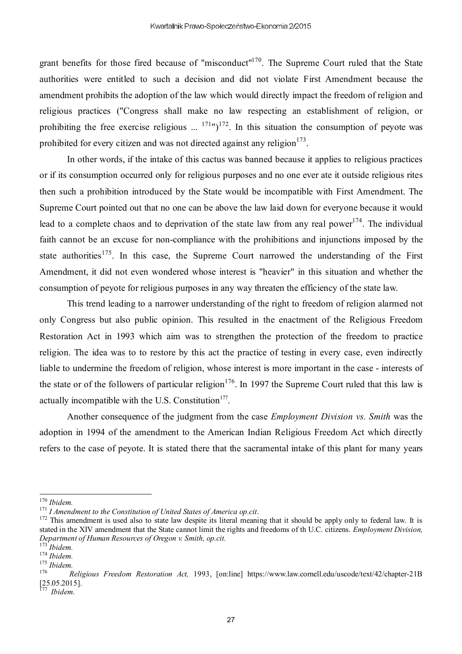grant benefits for those fired because of "misconduct"<sup>170</sup>. The Supreme Court ruled that the State authorities were entitled to such a decision and did not violate First Amendment because the amendment prohibits the adoption of the law which would directly impact the freedom of religion and religious practices ("Congress shall make no law respecting an establishment of religion, or prohibiting the free exercise religious  $(171 \text{ m})^{172}$ . In this situation the consumption of peyote was prohibited for every citizen and was not directed against any religion $173$ .

In other words, if the intake of this cactus was banned because it applies to religious practices or if its consumption occurred only for religious purposes and no one ever ate it outside religious rites then such a prohibition introduced by the State would be incompatible with First Amendment. The Supreme Court pointed out that no one can be above the law laid down for everyone because it would lead to a complete chaos and to deprivation of the state law from any real power<sup>174</sup>. The individual faith cannot be an excuse for non-compliance with the prohibitions and injunctions imposed by the state authorities<sup>175</sup>. In this case, the Supreme Court narrowed the understanding of the First Amendment, it did not even wondered whose interest is "heavier" in this situation and whether the consumption of peyote for religious purposes in any way threaten the efficiency of the state law.

This trend leading to a narrower understanding of the right to freedom of religion alarmed not only Congress but also public opinion. This resulted in the enactment of the Religious Freedom Restoration Act in 1993 which aim was to strengthen the protection of the freedom to practice religion. The idea was to to restore by this act the practice of testing in every case, even indirectly liable to undermine the freedom of religion, whose interest is more important in the case - interests of the state or of the followers of particular religion<sup>176</sup>. In 1997 the Supreme Court ruled that this law is actually incompatible with the U.S. Constitution<sup>177</sup>.

Another consequence of the judgment from the case *Employment Division vs. Smith* was the adoption in 1994 of the amendment to the American Indian Religious Freedom Act which directly refers to the case of peyote. It is stated there that the sacramental intake of this plant for many years

<sup>170</sup> *Ibidem.*

<sup>171</sup> *I Amendment to the Constitution of United States of America op.cit*.

<sup>&</sup>lt;sup>172</sup> This amendment is used also to state law despite its literal meaning that it should be apply only to federal law. It is stated in the XIV amendment that the State cannot limit the rights and freedoms of th U.C. citizens. *Employment Division, Department of Human Resources of Oregon v. Smith, op.cit.*

<sup>173</sup> *Ibidem.*

<sup>174</sup> *Ibidem.*

<sup>175</sup> *Ibidem.*

<sup>176</sup> *Religious Freedom Restoration Act,* 1993, [on:line] https://www.law.cornell.edu/uscode/text/42/chapter-21B [25.05.2015].

<sup>177</sup> *Ibidem.*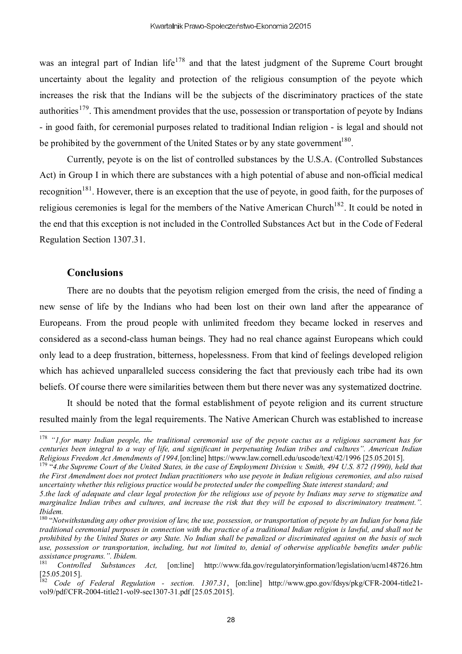was an integral part of Indian life<sup>178</sup> and that the latest judgment of the Supreme Court brought uncertainty about the legality and protection of the religious consumption of the peyote which increases the risk that the Indians will be the subjects of the discriminatory practices of the state authorities<sup>179</sup>. This amendment provides that the use, possession or transportation of peyote by Indians - in good faith, for ceremonial purposes related to traditional Indian religion - is legal and should not be prohibited by the government of the United States or by any state government<sup>180</sup>.

Currently, peyote is on the list of controlled substances by the U.S.A. (Controlled Substances Act) in Group I in which there are substances with a high potential of abuse and non-official medical recognition<sup>181</sup>. However, there is an exception that the use of peyote, in good faith, for the purposes of religious ceremonies is legal for the members of the Native American Church<sup>182</sup>. It could be noted in the end that this exception is not included in the Controlled Substances Act but in the Code of Federal Regulation Section 1307.31.

### **Conclusions**

There are no doubts that the peyotism religion emerged from the crisis, the need of finding a new sense of life by the Indians who had been lost on their own land after the appearance of Europeans. From the proud people with unlimited freedom they became locked in reserves and considered as a second-class human beings. They had no real chance against Europeans which could only lead to a deep frustration, bitterness, hopelessness. From that kind of feelings developed religion which has achieved unparalleled success considering the fact that previously each tribe had its own beliefs. Of course there were similarities between them but there never was any systematized doctrine.

It should be noted that the formal establishment of peyote religion and its current structure resulted mainly from the legal requirements. The Native American Church was established to increase

<sup>178</sup> *"1.for many Indian people, the traditional ceremonial use of the peyote cactus as a religious sacrament has for centuries been integral to a way of life, and significant in perpetuating Indian tribes and cultures". American Indian Religious Freedom Act Amendments of 1994,*[on:line] https://www.law.cornell.edu/uscode/text/42/1996 [25.05.2015].

<sup>179</sup> "*4.the Supreme Court of the United States, in the case of Employment Division v. Smith, 494 U.S. 872 (1990), held that the First Amendment does not protect Indian practitioners who use peyote in Indian religious ceremonies, and also raised uncertainty whether this religious practice would be protected under the compelling State interest standard; and*

*<sup>5.</sup>the lack of adequate and clear legal protection for the religious use of peyote by Indians may serve to stigmatize and marginalize Indian tribes and cultures, and increase the risk that they will be exposed to discriminatory treatment.". Ibidem.*

<sup>180</sup> "*Notwithstanding any other provision of law, the use, possession, or transportation of peyote by an Indian for bona fide traditional ceremonial purposes in connection with the practice of a traditional Indian religion is lawful, and shall not be prohibited by the United States or any State. No Indian shall be penalized or discriminated against on the basis of such use, possession or transportation, including, but not limited to, denial of otherwise applicable benefits under public assistance programs.". Ibidem.*

<sup>181</sup> *Controlled Substances Act,* [on:line] http://www.fda.gov/regulatoryinformation/legislation/ucm148726.htm  $\begin{bmatrix} 25.05.2015 \\ 182 \end{bmatrix}$ .

<sup>182</sup> *Code of Federal Regulation - section. 1307.31*, [on:line] http://www.gpo.gov/fdsys/pkg/CFR-2004-title21 vol9/pdf/CFR-2004-title21-vol9-sec1307-31.pdf [25.05.2015].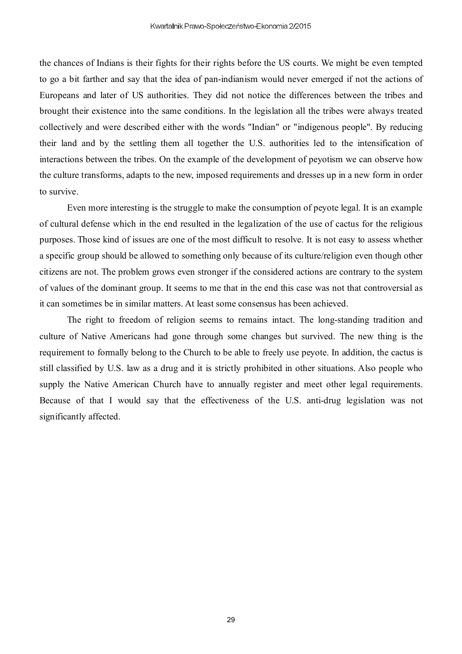the chances of Indians is their fights for their rights before the US courts. We might be even tempted to go a bit farther and say that the idea of pan-indianism would never emerged if not the actions of Europeans and later of US authorities. They did not notice the differences between the tribes and brought their existence into the same conditions. In the legislation all the tribes were always treated collectively and were described either with the words "Indian" or "indigenous people". By reducing their land and by the settling them all together the U.S. authorities led to the intensification of interactions between the tribes. On the example of the development of peyotism we can observe how the culture transforms, adapts to the new, imposed requirements and dresses up in a new form in order to survive.

Even more interesting is the struggle to make the consumption of peyote legal. It is an example of cultural defense which in the end resulted in the legalization of the use of cactus for the religious purposes. Those kind of issues are one of the most difficult to resolve. It is not easy to assess whether a specific group should be allowed to something only because of its culture/religion even though other citizens are not. The problem grows even stronger if the considered actions are contrary to the system of values of the dominant group. It seems to me that in the end this case was not that controversial as it can sometimes be in similar matters. At least some consensus has been achieved.

The right to freedom of religion seems to remains intact. The long-standing tradition and culture of Native Americans had gone through some changes but survived. The new thing is the requirement to formally belong to the Church to be able to freely use peyote. In addition, the cactus is still classified by U.S. law as a drug and it is strictly prohibited in other situations. Also people who supply the Native American Church have to annually register and meet other legal requirements. Because of that I would say that the effectiveness of the U.S. anti-drug legislation was not significantly affected.